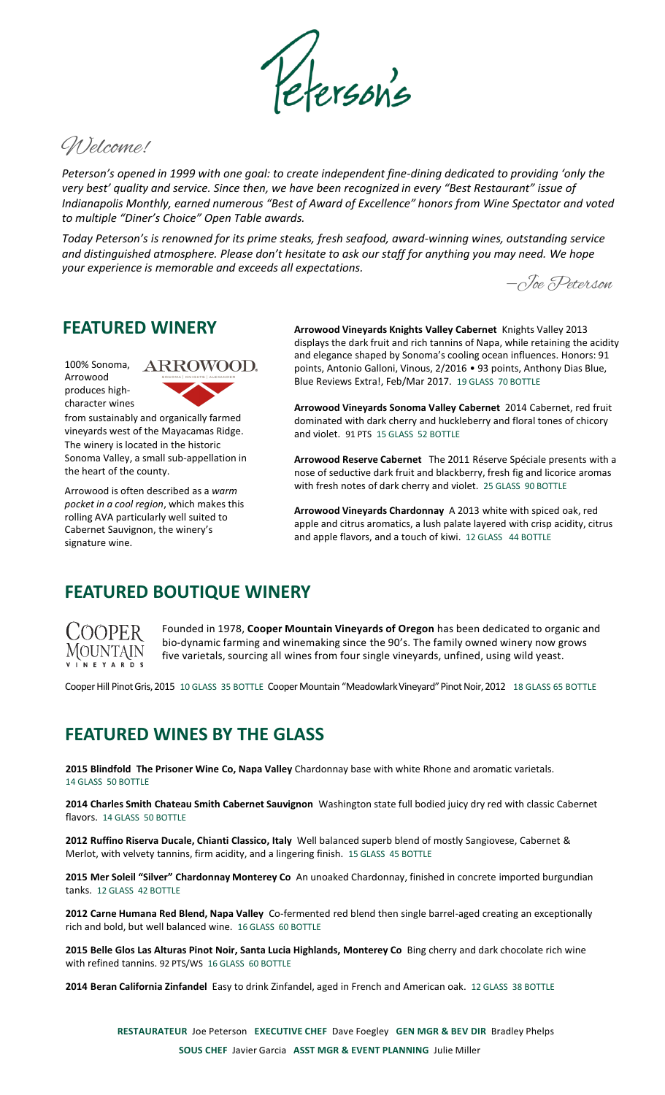

Welcome!

*Peterson's opened in 1999 with one goal: to create independent fine-dining dedicated to providing 'only the very best' quality and service. Since then, we have been recognized in every "Best Restaurant" issue of Indianapolis Monthly, earned numerous "Best of Award of Excellence" honors from Wine Spectator and voted to multiple "Diner's Choice" Open Table awards.* 

*Today Peterson's is renowned for its prime steaks, fresh seafood, award-winning wines, outstanding service and distinguished atmosphere. Please don't hesitate to ask our staff for anything you may need. We hope your experience is memorable and exceeds all expectations.*

‒Joe Peterson

## **FEATURED WINERY**

100% Sonoma, Arrowood produces highcharacter wines



from sustainably and organically farmed vineyards west of the Mayacamas Ridge. The winery is located in the historic Sonoma Valley, a small sub-appellation in the heart of the county.

Arrowood is often described as a *warm pocket in a cool region*, which makes this rolling AVA particularly well suited to Cabernet Sauvignon, the winery's signature wine.

**Arrowood Vineyards Knights Valley Cabernet** Knights Valley 2013 displays the dark fruit and rich tannins of Napa, while retaining the acidity and elegance shaped by Sonoma's cooling ocean influences. Honors: 91 points, Antonio Galloni, Vinous, 2/2016 • 93 points, Anthony Dias Blue, Blue Reviews Extra!, Feb/Mar 2017. 19 GLASS 70 BOTTLE

**Arrowood Vineyards Sonoma Valley Cabernet** 2014 Cabernet, red fruit dominated with dark cherry and huckleberry and floral tones of chicory and violet. 91 PTS 15 GLASS 52 BOTTLE

**Arrowood Reserve Cabernet** The 2011 Réserve Spéciale presents with a nose of seductive dark fruit and blackberry, fresh fig and licorice aromas with fresh notes of dark cherry and violet. 25 GLASS 90 BOTTLE

**Arrowood Vineyards Chardonnay** A 2013 white with spiced oak, red apple and citrus aromatics, a lush palate layered with crisp acidity, citrus and apple flavors, and a touch of kiwi. 12 GLASS 44 BOTTLE

## **FEATURED BOUTIQUE WINERY**



Founded in 1978, **Cooper Mountain Vineyards of Oregon** has been dedicated to organic and bio-dynamic farming and winemaking since the 90's. The family owned winery now grows five varietals, sourcing all wines from four single vineyards, unfined, using wild yeast.

Cooper Hill Pinot Gris, 2015 10 GLASS 35 BOTTLE Cooper Mountain "Meadowlark Vineyard" Pinot Noir, 2012 18 GLASS 65 BOTTLE

# **FEATURED WINES BY THE GLASS**

**2015 Blindfold The Prisoner Wine Co, Napa Valley** Chardonnay base with white Rhone and aromatic varietals. 14 GLASS 50 BOTTLE

**2014 Charles Smith Chateau Smith Cabernet Sauvignon** Washington state full bodied juicy dry red with classic Cabernet flavors. 14 GLASS 50 BOTTLE

**2012 Ruffino Riserva Ducale, Chianti Classico, Italy** Well balanced superb blend of mostly Sangiovese, Cabernet & Merlot, with velvety tannins, firm acidity, and a lingering finish. 15 GLASS 45 BOTTLE

**2015 Mer Soleil "Silver" Chardonnay Monterey Co** An unoaked Chardonnay, finished in concrete imported burgundian tanks. 12 GLASS 42 BOTTLE

**2012 Carne Humana Red Blend, Napa Valley** Co-fermented red blend then single barrel-aged creating an exceptionally rich and bold, but well balanced wine. 16 GLASS 60 BOTTLE

**2015 Belle Glos Las Alturas Pinot Noir, Santa Lucia Highlands, Monterey Co** Bing cherry and dark chocolate rich wine with refined tannins. 92 PTS/WS 16 GLASS 60 BOTTLE

**2014 Beran California Zinfandel** Easy to drink Zinfandel, aged in French and American oak. 12 GLASS 38 BOTTLE

**RESTAURATEUR** Joe Peterson **EXECUTIVE CHEF** Dave Foegley **GEN MGR & BEV DIR** Bradley Phelps **SOUS CHEF** Javier Garcia **ASST MGR & EVENT PLANNING** Julie Miller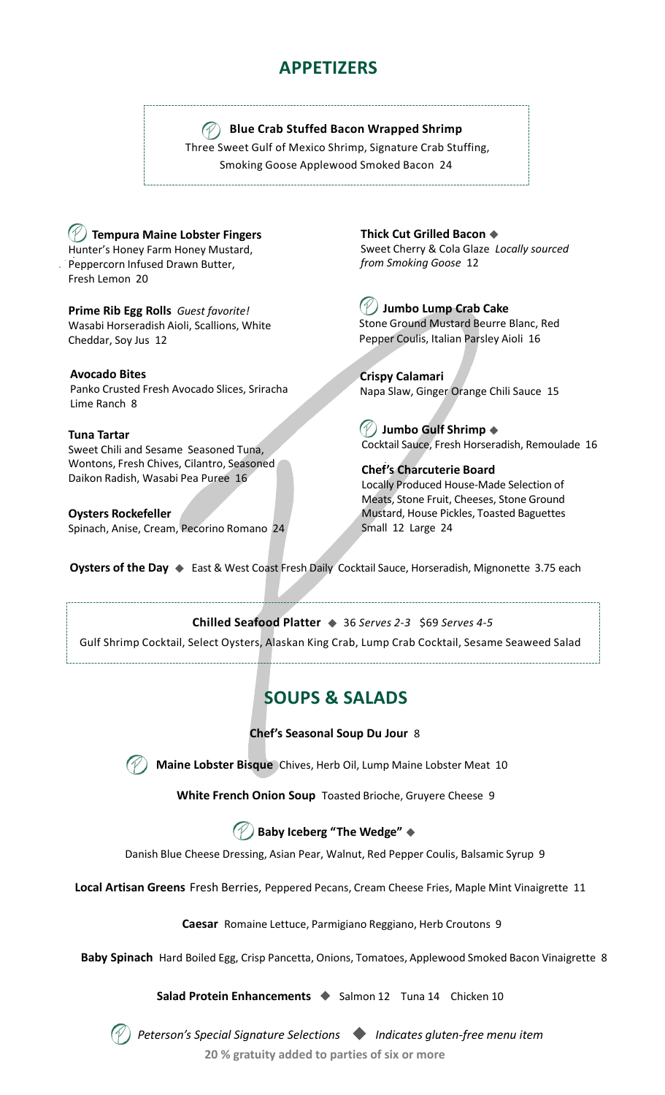# **APPETIZERS**

### **Blue Crab Stuffed Bacon Wrapped Shrimp**

Three Sweet Gulf of Mexico Shrimp, Signature Crab Stuffing, Smoking Goose Applewood Smoked Bacon 24

**Tempura Maine Lobster Fingers** Hunter's Honey Farm Honey Mustard, Peppercorn Infused Drawn Butter, Fresh Lemon 20

**Prime Rib Egg Rolls** *Guest favorite!* Wasabi Horseradish Aioli, Scallions, White Cheddar, Soy Jus 12

**Avocado Bites** 

Panko Crusted Fresh Avocado Slices, Sriracha Lime Ranch 8

#### **Tuna Tartar**

Sweet Chili and Sesame Seasoned Tuna, Wontons, Fresh Chives, Cilantro, Seasoned Daikon Radish, Wasabi Pea Puree 16

**Oysters Rockefeller**  Spinach, Anise, Cream, Pecorino Romano 24 **Thick Cut Grilled Bacon**  Sweet Cherry & Cola Glaze *Locally sourced from Smoking Goose* 12

**Jumbo Lump Crab Cake** Stone Ground Mustard Beurre Blanc, Red Pepper Coulis, Italian Parsley Aioli 16

**Crispy Calamari** Napa Slaw, Ginger Orange Chili Sauce 15

**Jumbo Gulf Shrimp** Cocktail Sauce, Fresh Horseradish, Remoulade 16

**Chef's Charcuterie Board** Locally Produced House-Made Selection of Meats, Stone Fruit, Cheeses, Stone Ground Mustard, House Pickles, Toasted Baguettes Small 12 Large 24

**Oysters of the Day ♦** East & West Coast Fresh Daily Cocktail Sauce, Horseradish, Mignonette 3.75 each

#### **Chilled Seafood Platter**  36 *Serves 2-3* \$69 *Serves 4-5*

Gulf Shrimp Cocktail, Select Oysters, Alaskan King Crab, Lump Crab Cocktail, Sesame Seaweed Salad

# **SOUPS & SALADS**

#### **Chef's Seasonal Soup Du Jour** 8



**Maine Lobster Bisque** Chives, Herb Oil, Lump Maine Lobster Meat 10

**White French Onion Soup** Toasted Brioche, Gruyere Cheese 9

## **Baby Iceberg "The Wedge"**

Danish Blue Cheese Dressing, Asian Pear, Walnut, Red Pepper Coulis, Balsamic Syrup 9

**Local Artisan Greens** Fresh Berries, Peppered Pecans, Cream Cheese Fries, Maple Mint Vinaigrette 11

**Caesar** Romaine Lettuce, Parmigiano Reggiano, Herb Croutons 9

**Baby Spinach** Hard Boiled Egg, Crisp Pancetta, Onions, Tomatoes, Applewood Smoked Bacon Vinaigrette 8

**Salad Protein Enhancements ◆ Salmon 12 Tuna 14 Chicken 10** 



*Peterson's Special Signature Selections Indicates gluten-free menu item*

**20 % gratuity added to parties of six or more**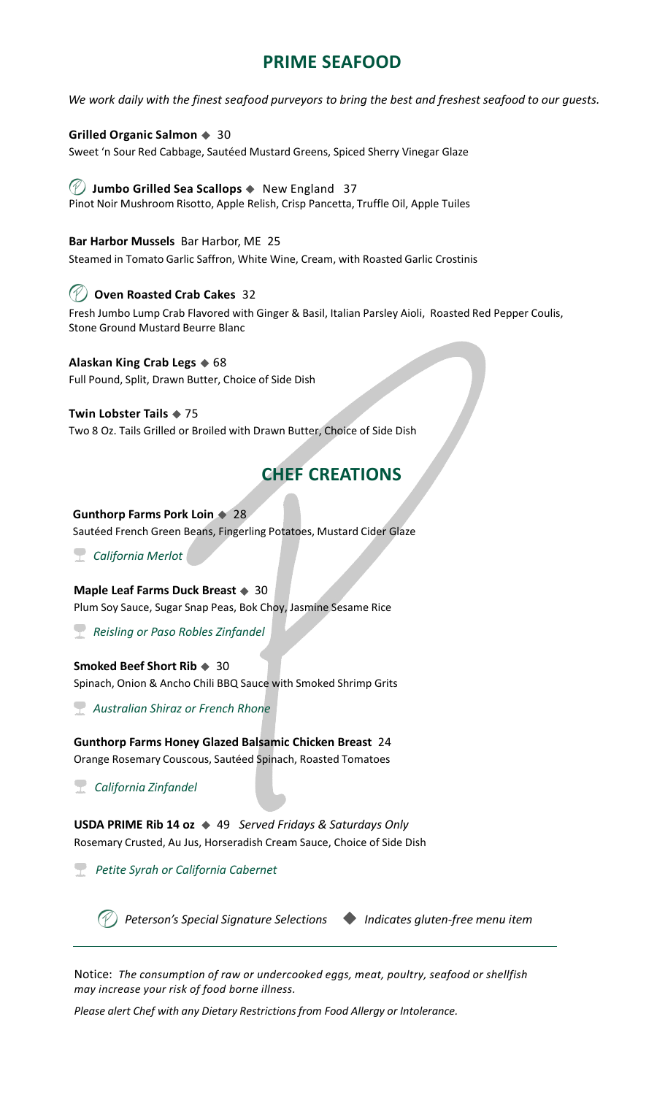# **PRIME SEAFOOD**

*We work daily with the finest seafood purveyors to bring the best and freshest seafood to our guests.*

#### **Grilled Organic Salmon**  $\triangle$  30

Sweet 'n Sour Red Cabbage, Sautéed Mustard Greens, Spiced Sherry Vinegar Glaze

### **Jumbo Grilled Sea Scallops**  New England 37

Pinot Noir Mushroom Risotto, Apple Relish, Crisp Pancetta, Truffle Oil, Apple Tuiles

#### **Bar Harbor Mussels** Bar Harbor, ME 25

Steamed in Tomato Garlic Saffron, White Wine, Cream, with Roasted Garlic Crostinis

#### **Oven Roasted Crab Cakes** 32

Fresh Jumbo Lump Crab Flavored with Ginger & Basil, Italian Parsley Aioli, Roasted Red Pepper Coulis, Stone Ground Mustard Beurre Blanc

#### **Alaskan King Crab Legs**  $\triangle$  68

Full Pound, Split, Drawn Butter, Choice of Side Dish

#### **Twin Lobster Tails**  $\triangle$  **75**

Two 8 Oz. Tails Grilled or Broiled with Drawn Butter, Choice of Side Dish

## **CHEF CREATIONS**

#### **Gunthorp Farms Pork Loin**  $\bullet$  28

Sautéed French Green Beans, Fingerling Potatoes, Mustard Cider Glaze

*California Merlot*

#### **Maple Leaf Farms Duck Breast**  $\triangle$  30

Plum Soy Sauce, Sugar Snap Peas, Bok Choy, Jasmine Sesame Rice

*Reisling or Paso Robles Zinfandel*

#### **Smoked Beef Short Rib**  $\triangleq 30$

Spinach, Onion & Ancho Chili BBQ Sauce with Smoked Shrimp Grits

*Australian Shiraz or French Rhone*

**Gunthorp Farms Honey Glazed Balsamic Chicken Breast** 24 Orange Rosemary Couscous, Sautéed Spinach, Roasted Tomatoes

*California Zinfandel*

**USDA PRIME Rib 14 oz**  49 *Served Fridays & Saturdays Only*  Rosemary Crusted, Au Jus, Horseradish Cream Sauce, Choice of Side Dish

*Petite Syrah or California Cabernet*

*Peterson's Special Signature Selections Indicates gluten-free menu item*

Notice: *The consumption of raw or undercooked eggs, meat, poultry, seafood or shellfish may increase your risk of food borne illness.* 

*Please alert Chef with any Dietary Restrictions from Food Allergy or Intolerance.*